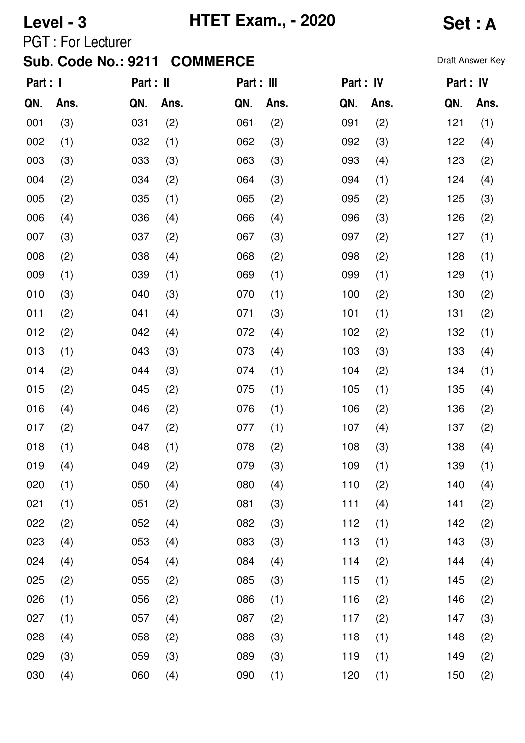# **Level - 3 HTET Exam., - 2020 Set : A**

PGT : For Lecturer

| Part : I |      | Part : II |      | Part : III |      | Part : IV |      | Part : IV |      |
|----------|------|-----------|------|------------|------|-----------|------|-----------|------|
| QN.      | Ans. | QN.       | Ans. | QN.        | Ans. | QN.       | Ans. | QN.       | Ans. |
| 001      | (3)  | 031       | (2)  | 061        | (2)  | 091       | (2)  | 121       | (1)  |
| 002      | (1)  | 032       | (1)  | 062        | (3)  | 092       | (3)  | 122       | (4)  |
| 003      | (3)  | 033       | (3)  | 063        | (3)  | 093       | (4)  | 123       | (2)  |
| 004      | (2)  | 034       | (2)  | 064        | (3)  | 094       | (1)  | 124       | (4)  |
| 005      | (2)  | 035       | (1)  | 065        | (2)  | 095       | (2)  | 125       | (3)  |
| 006      | (4)  | 036       | (4)  | 066        | (4)  | 096       | (3)  | 126       | (2)  |
| 007      | (3)  | 037       | (2)  | 067        | (3)  | 097       | (2)  | 127       | (1)  |
| 008      | (2)  | 038       | (4)  | 068        | (2)  | 098       | (2)  | 128       | (1)  |
| 009      | (1)  | 039       | (1)  | 069        | (1)  | 099       | (1)  | 129       | (1)  |
| 010      | (3)  | 040       | (3)  | 070        | (1)  | 100       | (2)  | 130       | (2)  |
| 011      | (2)  | 041       | (4)  | 071        | (3)  | 101       | (1)  | 131       | (2)  |
| 012      | (2)  | 042       | (4)  | 072        | (4)  | 102       | (2)  | 132       | (1)  |
| 013      | (1)  | 043       | (3)  | 073        | (4)  | 103       | (3)  | 133       | (4)  |
| 014      | (2)  | 044       | (3)  | 074        | (1)  | 104       | (2)  | 134       | (1)  |
| 015      | (2)  | 045       | (2)  | 075        | (1)  | 105       | (1)  | 135       | (4)  |
| 016      | (4)  | 046       | (2)  | 076        | (1)  | 106       | (2)  | 136       | (2)  |
| 017      | (2)  | 047       | (2)  | 077        | (1)  | 107       | (4)  | 137       | (2)  |
| 018      | (1)  | 048       | (1)  | 078        | (2)  | 108       | (3)  | 138       | (4)  |
| 019      | (4)  | 049       | (2)  | 079        | (3)  | 109       | (1)  | 139       | (1)  |
| 020      | (1)  | 050       | (4)  | 080        | (4)  | 110       | (2)  | 140       | (4)  |
| 021      | (1)  | 051       | (2)  | 081        | (3)  | 111       | (4)  | 141       | (2)  |
| 022      | (2)  | 052       | (4)  | 082        | (3)  | 112       | (1)  | 142       | (2)  |
| 023      | (4)  | 053       | (4)  | 083        | (3)  | 113       | (1)  | 143       | (3)  |
| 024      | (4)  | 054       | (4)  | 084        | (4)  | 114       | (2)  | 144       | (4)  |
| 025      | (2)  | 055       | (2)  | 085        | (3)  | 115       | (1)  | 145       | (2)  |
| 026      | (1)  | 056       | (2)  | 086        | (1)  | 116       | (2)  | 146       | (2)  |
| 027      | (1)  | 057       | (4)  | 087        | (2)  | 117       | (2)  | 147       | (3)  |
| 028      | (4)  | 058       | (2)  | 088        | (3)  | 118       | (1)  | 148       | (2)  |
| 029      | (3)  | 059       | (3)  | 089        | (3)  | 119       | (1)  | 149       | (2)  |
| 030      | (4)  | 060       | (4)  | 090        | (1)  | 120       | (1)  | 150       | (2)  |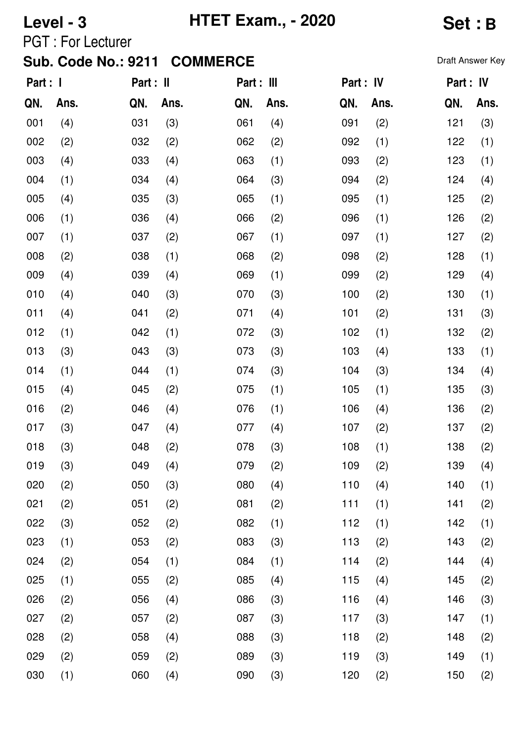## **Level - 3 HTET Exam., - 2020 Set : B**

PGT : For Lecturer

| Part : I |      | Part : II |      | Part : III |      | Part : IV |      | Part : IV |      |
|----------|------|-----------|------|------------|------|-----------|------|-----------|------|
| QN.      | Ans. | QN.       | Ans. | QN.        | Ans. | QN.       | Ans. | QN.       | Ans. |
| 001      | (4)  | 031       | (3)  | 061        | (4)  | 091       | (2)  | 121       | (3)  |
| 002      | (2)  | 032       | (2)  | 062        | (2)  | 092       | (1)  | 122       | (1)  |
| 003      | (4)  | 033       | (4)  | 063        | (1)  | 093       | (2)  | 123       | (1)  |
| 004      | (1)  | 034       | (4)  | 064        | (3)  | 094       | (2)  | 124       | (4)  |
| 005      | (4)  | 035       | (3)  | 065        | (1)  | 095       | (1)  | 125       | (2)  |
| 006      | (1)  | 036       | (4)  | 066        | (2)  | 096       | (1)  | 126       | (2)  |
| 007      | (1)  | 037       | (2)  | 067        | (1)  | 097       | (1)  | 127       | (2)  |
| 008      | (2)  | 038       | (1)  | 068        | (2)  | 098       | (2)  | 128       | (1)  |
| 009      | (4)  | 039       | (4)  | 069        | (1)  | 099       | (2)  | 129       | (4)  |
| 010      | (4)  | 040       | (3)  | 070        | (3)  | 100       | (2)  | 130       | (1)  |
| 011      | (4)  | 041       | (2)  | 071        | (4)  | 101       | (2)  | 131       | (3)  |
| 012      | (1)  | 042       | (1)  | 072        | (3)  | 102       | (1)  | 132       | (2)  |
| 013      | (3)  | 043       | (3)  | 073        | (3)  | 103       | (4)  | 133       | (1)  |
| 014      | (1)  | 044       | (1)  | 074        | (3)  | 104       | (3)  | 134       | (4)  |
| 015      | (4)  | 045       | (2)  | 075        | (1)  | 105       | (1)  | 135       | (3)  |
| 016      | (2)  | 046       | (4)  | 076        | (1)  | 106       | (4)  | 136       | (2)  |
| 017      | (3)  | 047       | (4)  | 077        | (4)  | 107       | (2)  | 137       | (2)  |
| 018      | (3)  | 048       | (2)  | 078        | (3)  | 108       | (1)  | 138       | (2)  |
| 019      | (3)  | 049       | (4)  | 079        | (2)  | 109       | (2)  | 139       | (4)  |
| 020      | (2)  | 050       | (3)  | 080        | (4)  | 110       | (4)  | 140       | (1)  |
| 021      | (2)  | 051       | (2)  | 081        | (2)  | 111       | (1)  | 141       | (2)  |
| 022      | (3)  | 052       | (2)  | 082        | (1)  | 112       | (1)  | 142       | (1)  |
| 023      | (1)  | 053       | (2)  | 083        | (3)  | 113       | (2)  | 143       | (2)  |
| 024      | (2)  | 054       | (1)  | 084        | (1)  | 114       | (2)  | 144       | (4)  |
| 025      | (1)  | 055       | (2)  | 085        | (4)  | 115       | (4)  | 145       | (2)  |
| 026      | (2)  | 056       | (4)  | 086        | (3)  | 116       | (4)  | 146       | (3)  |
| 027      | (2)  | 057       | (2)  | 087        | (3)  | 117       | (3)  | 147       | (1)  |
| 028      | (2)  | 058       | (4)  | 088        | (3)  | 118       | (2)  | 148       | (2)  |
| 029      | (2)  | 059       | (2)  | 089        | (3)  | 119       | (3)  | 149       | (1)  |
| 030      | (1)  | 060       | (4)  | 090        | (3)  | 120       | (2)  | 150       | (2)  |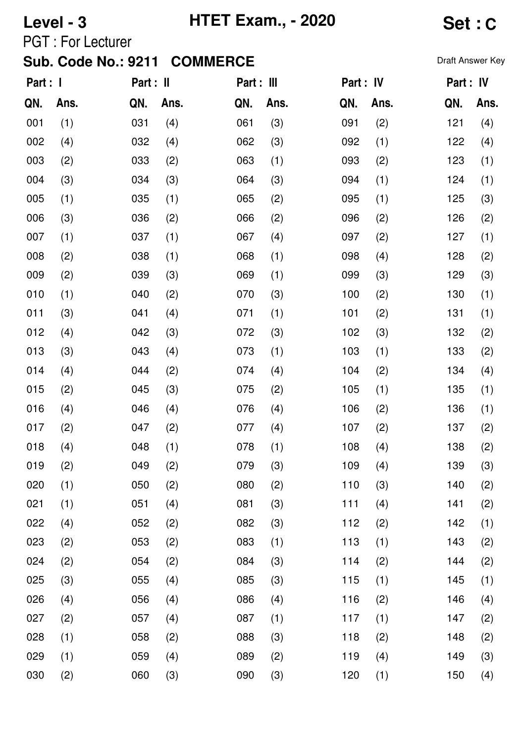# **Level - 3 HTET Exam., - 2020 Set : C**

PGT : For Lecturer

| Part : I |      | Part : II |      | Part : III |      | Part : IV |      | Part : IV |      |
|----------|------|-----------|------|------------|------|-----------|------|-----------|------|
| QN.      | Ans. | QN.       | Ans. | QN.        | Ans. | QN.       | Ans. | QN.       | Ans. |
| 001      | (1)  | 031       | (4)  | 061        | (3)  | 091       | (2)  | 121       | (4)  |
| 002      | (4)  | 032       | (4)  | 062        | (3)  | 092       | (1)  | 122       | (4)  |
| 003      | (2)  | 033       | (2)  | 063        | (1)  | 093       | (2)  | 123       | (1)  |
| 004      | (3)  | 034       | (3)  | 064        | (3)  | 094       | (1)  | 124       | (1)  |
| 005      | (1)  | 035       | (1)  | 065        | (2)  | 095       | (1)  | 125       | (3)  |
| 006      | (3)  | 036       | (2)  | 066        | (2)  | 096       | (2)  | 126       | (2)  |
| 007      | (1)  | 037       | (1)  | 067        | (4)  | 097       | (2)  | 127       | (1)  |
| 008      | (2)  | 038       | (1)  | 068        | (1)  | 098       | (4)  | 128       | (2)  |
| 009      | (2)  | 039       | (3)  | 069        | (1)  | 099       | (3)  | 129       | (3)  |
| 010      | (1)  | 040       | (2)  | 070        | (3)  | 100       | (2)  | 130       | (1)  |
| 011      | (3)  | 041       | (4)  | 071        | (1)  | 101       | (2)  | 131       | (1)  |
| 012      | (4)  | 042       | (3)  | 072        | (3)  | 102       | (3)  | 132       | (2)  |
| 013      | (3)  | 043       | (4)  | 073        | (1)  | 103       | (1)  | 133       | (2)  |
| 014      | (4)  | 044       | (2)  | 074        | (4)  | 104       | (2)  | 134       | (4)  |
| 015      | (2)  | 045       | (3)  | 075        | (2)  | 105       | (1)  | 135       | (1)  |
| 016      | (4)  | 046       | (4)  | 076        | (4)  | 106       | (2)  | 136       | (1)  |
| 017      | (2)  | 047       | (2)  | 077        | (4)  | 107       | (2)  | 137       | (2)  |
| 018      | (4)  | 048       | (1)  | 078        | (1)  | 108       | (4)  | 138       | (2)  |
| 019      | (2)  | 049       | (2)  | 079        | (3)  | 109       | (4)  | 139       | (3)  |
| 020      | (1)  | 050       | (2)  | 080        | (2)  | 110       | (3)  | 140       | (2)  |
| 021      | (1)  | 051       | (4)  | 081        | (3)  | 111       | (4)  | 141       | (2)  |
| 022      | (4)  | 052       | (2)  | 082        | (3)  | 112       | (2)  | 142       | (1)  |
| 023      | (2)  | 053       | (2)  | 083        | (1)  | 113       | (1)  | 143       | (2)  |
| 024      | (2)  | 054       | (2)  | 084        | (3)  | 114       | (2)  | 144       | (2)  |
| 025      | (3)  | 055       | (4)  | 085        | (3)  | 115       | (1)  | 145       | (1)  |
| 026      | (4)  | 056       | (4)  | 086        | (4)  | 116       | (2)  | 146       | (4)  |
| 027      | (2)  | 057       | (4)  | 087        | (1)  | 117       | (1)  | 147       | (2)  |
| 028      | (1)  | 058       | (2)  | 088        | (3)  | 118       | (2)  | 148       | (2)  |
| 029      | (1)  | 059       | (4)  | 089        | (2)  | 119       | (4)  | 149       | (3)  |
| 030      | (2)  | 060       | (3)  | 090        | (3)  | 120       | (1)  | 150       | (4)  |